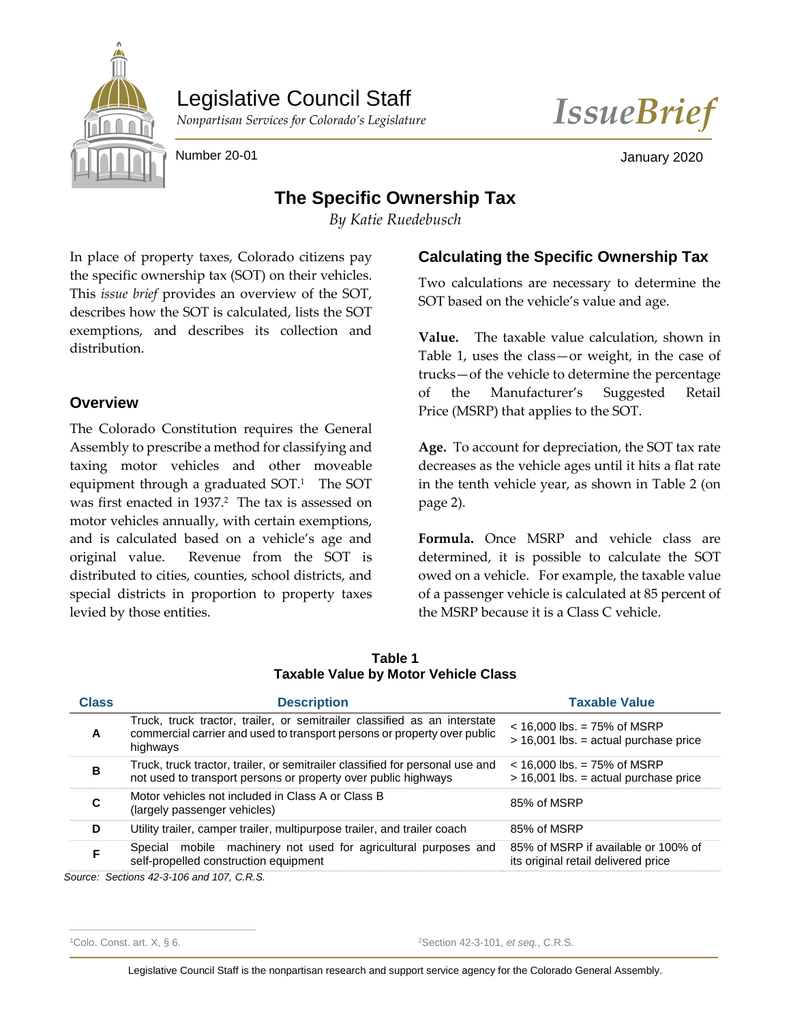

Legislative Council Staff



Number 20-01 January 2020

# **The Specific Ownership Tax**

*By Katie Ruedebusch*

In place of property taxes, Colorado citizens pay the specific ownership tax (SOT) on their vehicles. This *issue brief* provides an overview of the SOT, describes how the SOT is calculated, lists the SOT exemptions, and describes its collection and distribution.

# **Overview**

The Colorado Constitution requires the General Assembly to prescribe a method for classifying and taxing motor vehicles and other moveable equipment through a graduated  $SOT<sup>1</sup>$  The SOT was first enacted in 1937.<sup>2</sup> The tax is assessed on motor vehicles annually, with certain exemptions, and is calculated based on a vehicle's age and original value. Revenue from the SOT is distributed to cities, counties, school districts, and special districts in proportion to property taxes levied by those entities.

# **Calculating the Specific Ownership Tax**

Two calculations are necessary to determine the SOT based on the vehicle's value and age.

**Value.** The taxable value calculation, shown in Table 1, uses the class—or weight, in the case of trucks—of the vehicle to determine the percentage of the Manufacturer's Suggested Retail Price (MSRP) that applies to the SOT.

**Age.** To account for depreciation, the SOT tax rate decreases as the vehicle ages until it hits a flat rate in the tenth vehicle year, as shown in Table 2 (on page 2).

**Formula.** Once MSRP and vehicle class are determined, it is possible to calculate the SOT owed on a vehicle. For example, the taxable value of a passenger vehicle is calculated at 85 percent of the MSRP because it is a Class C vehicle.

|                                             | Table 1 |  |
|---------------------------------------------|---------|--|
| <b>Taxable Value by Motor Vehicle Class</b> |         |  |

| <b>Class</b> | <b>Description</b>                                                                                                                                                | <b>Taxable Value</b>                                                       |
|--------------|-------------------------------------------------------------------------------------------------------------------------------------------------------------------|----------------------------------------------------------------------------|
| A            | Truck, truck tractor, trailer, or semitrailer classified as an interstate<br>commercial carrier and used to transport persons or property over public<br>highways | $<$ 16,000 lbs. = 75% of MSRP<br>$> 16,001$ lbs. = actual purchase price   |
| в            | Truck, truck tractor, trailer, or semitrailer classified for personal use and<br>not used to transport persons or property over public highways                   | $<$ 16,000 lbs. = 75% of MSRP<br>$>$ 16,001 lbs. = actual purchase price   |
| C            | Motor vehicles not included in Class A or Class B<br>(largely passenger vehicles)                                                                                 | 85% of MSRP                                                                |
| D            | Utility trailer, camper trailer, multipurpose trailer, and trailer coach                                                                                          | 85% of MSRP                                                                |
| F            | Special mobile machinery not used for agricultural purposes and<br>self-propelled construction equipment                                                          | 85% of MSRP if available or 100% of<br>its original retail delivered price |

*Source: Sections 42-3-106 and 107, C.R.S.*

<sup>1</sup>Colo. Const. art. X, § 6. <sup>2</sup>Section 42-3-101, *et seq.*, C.R.S.